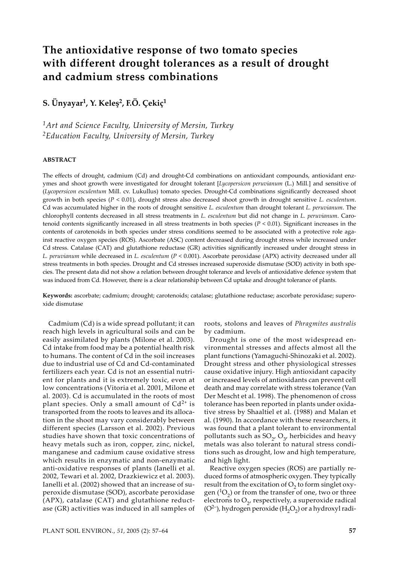# **The antioxidative response of two tomato species with different drought tolerances as a result of drought and cadmium stress combinations**

**S. Ünyayar1, Y. Keleş2, F.Ö. Çekiç1**

*1Art and Science Faculty, University of Mersin, Turkey 2Education Faculty, University of Mersin, Turkey*

## **ABSTRACT**

The effects of drought, cadmium (Cd) and drought-Cd combinations on antioxidant compounds, antioxidant enzymes and shoot growth were investigated for drought tolerant [*Lycopersicon peruvianum* (L.) Mill*.*] and sensitive of (*Lycopersicon esculentum* Mill. cv. Lukullus) tomato species. Drought-Cd combinations significantly decreased shoot growth in both species (*P* < 0.01), drought stress also decreased shoot growth in drought sensitive *L. esculentum*. Cd was accumulated higher in the roots of drought sensitive *L. esculentum* than drought tolerant *L. peruvianum*. The chlorophyll contents decreased in all stress treatments in *L. esculentum* but did not change in *L. peruvianum*. Carotenoid contents significantly increased in all stress treatments in both species  $(P < 0.01)$ . Significant increases in the contents of carotenoids in both species under stress conditions seemed to be associated with a protective role against reactive oxygen species (ROS). Ascorbate (ASC) content decreased during drought stress while increased under Cd stress. Catalase (CAT) and glutathione reductase (GR) activities significantly increased under drought stress in *L. peruvianum while decreased in <i>L. esculentum* (*P* < 0.001). Ascorbate peroxidase (APX) activity decreased under all stress treatments in both species. Drought and Cd stresses increased superoxide dismutase (SOD) activity in both species. The present data did not show a relation between drought tolerance and levels of antioxidative defence system that was induced from Cd. However, there is a clear relationship between Cd uptake and drought tolerance of plants.

**Keywords:** ascorbate; cadmium; drought; carotenoids; catalase; glutathione reductase; ascorbate peroxidase; superoxide dismutase

Cadmium (Cd) is a wide spread pollutant; it can reach high levels in agricultural soils and can be easily assimilated by plants (Milone et al. 2003). Cd intake from food may be a potential health risk to humans. The content of Cd in the soil increases due to industrial use of Cd and Cd-contaminated fertilizers each year. Cd is not an essential nutrient for plants and it is extremely toxic, even at low concentrations (Vitoria et al. 2001, Milone et al. 2003). Cd is accumulated in the roots of most plant species. Only a small amount of  $Cd^{2+}$  is transported from the roots to leaves and its allocation in the shoot may vary considerably between different species (Larsson et al. 2002). Previous studies have shown that toxic concentrations of heavy metals such as iron, copper, zinc, nickel, manganese and cadmium cause oxidative stress which results in enzymatic and non-enzymatic anti-oxidative responses of plants (Ianelli et al. 2002, Tewari et al. 2002, Drazkiewicz et al. 2003). Ianelli et al. (2002) showed that an increase of superoxide dismutase (SOD), ascorbate peroxidase (APX), catalase (CAT) and glutathione reductase (GR) activities was induced in all samples of roots, stolons and leaves of *Phragmites australis* by cadmium.

Drought is one of the most widespread environmental stresses and affects almost all the plant functions (Yamaguchi-Shinozaki et al. 2002). Drought stress and other physiological stresses cause oxidative injury. High antioxidant capacity or increased levels of antioxidants can prevent cell death and may correlate with stress tolerance (Van Der Mescht et al. 1998). The phenomenon of cross tolerance has been reported in plants under oxidative stress by Shaaltiel et al. (1988) and Malan et al. (1990). In accordance with these researchers, it was found that a plant tolerant to environmental pollutants such as  $SO_2$ ,  $O_{3}$ , herbicides and heavy metals was also tolerant to natural stress conditions such as drought, low and high temperature, and high light.

Reactive oxygen species (ROS) are partially reduced forms of atmospheric oxygen. They typically result from the excitation of  $O_2$  to form singlet oxygen ( ${}^{1}O_{2}$ ) or from the transfer of one, two or three electrons to  $O<sub>2</sub>$ , respectively, a superoxide radical ( $O^{2-}$ ), hydrogen peroxide ( $H_2O_2$ ) or a hydroxyl radi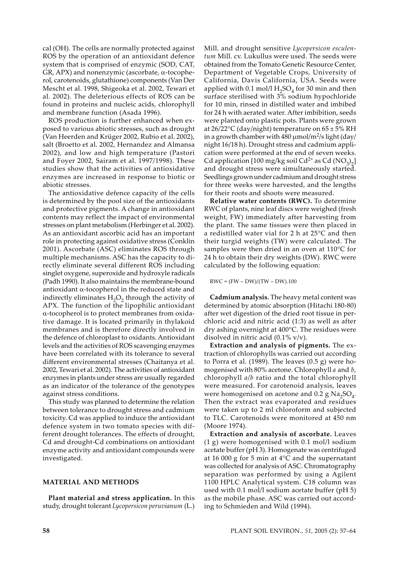cal (OH). The cells are normally protected against ROS by the operation of an antioxidant defence system that is comprised of enzymic (SOD, CAT, GR, APX) and nonenzymic (ascorbate, α-tocopherol, carotenoids, glutathione) components (Van Der Mescht et al. 1998, Shigeoka et al. 2002, Tewari et al. 2002). The deleterious effects of ROS can be found in proteins and nucleic acids, chlorophyll and membrane function (Asada 1996).

ROS production is further enhanced when exposed to various abiotic stresses, such as drought (Van Heerden and Krüger 2002, Rubio et al. 2002), salt (Broetto et al. 2002, Hernandez and Almansa 2002), and low and high temperature (Pastori and Foyer 2002, Sairam et al. 1997/1998). These studies show that the activities of antioxidative enzymes are increased in response to biotic or abiotic stresses.

The antioxidative defence capacity of the cells is determined by the pool size of the antioxidants and protective pigments. A change in antioxidant contents may reflect the impact of environmental stresses on plant metabolism (Herbinger et al. 2002). As an antioxidant ascorbic acid has an important role in protecting against oxidative stress (Conklin 2001). Ascorbate (ASC) eliminates ROS through multiple mechanisms. ASC has the capacity to directly eliminate several different ROS including singlet oxygene, superoxide and hydroxyle radicals (Padh 1990). It also maintains the membrane-bound antioxidant α-tocopherol in the reduced state and indirectly eliminates  $H_2O_2$  through the activity of APX. The function of the lipophilic antioxidant α-tocopherol is to protect membranes from oxidative damage. It is located primarily in thylakoid membranes and is therefore directly involved in the defence of chloroplast to oxidants. Antioxidant levels and the activities of ROS scavenging enzymes have been correlated with its tolerance to several different environmental stresses (Chaitanya et al. 2002, Tewari et al. 2002). The activities of antioxidant enzymes in plants under stress are usually regarded as an indicator of the tolerance of the genotypes against stress conditions.

This study was planned to determine the relation between tolerance to drought stress and cadmium toxicity. Cd was applied to induce the antioxidant defence system in two tomato species with different drought tolerances. The effects of drought, Cd and drought-Cd combinations on antioxidant enzyme activity and antioxidant compounds were investigated.

#### **MATERIAL AND METHODS**

**Plant material and stress application.** In this study, drought tolerant *Lycopersicon peruvianum* (L.) Mill. and drought sensitive *Lycopersicon esculentum* Mill. cv. Lukullus were used. The seeds were obtained from the Tomato Genetic Resource Center, Department of Vegetable Crops, University of California, Davis California, USA. Seeds were applied with 0.1 mol/l  $H_2SO_4$  for 30 min and then surface sterilised with 3% sodium hypochloride for 10 min, rinsed in distilled water and imbibed for 24 h with aerated water. After imbibition, seeds were planted onto plastic pots. Plants were grown at  $26/22^{\circ}$ C (day/night) temperature on  $65 \pm 5\%$  RH in a growth chamber with 480  $\mu$ mol/m<sup>2</sup>/s light (day/ night 16/18 h). Drought stress and cadmium application were performed at the end of seven weeks. Cd application [100 mg/kg soil Cd<sup>2+</sup> as Cd (NO<sub>3</sub>)<sub>2</sub>] and drought stress were simultaneously started. Seedlings grown under cadmium and drought stress for three weeks were harvested, and the lengths for their roots and shoots were measured.

**Relative water contents (RWC).** To determine RWC of plants, nine leaf discs were weighed (fresh weight, FW) immediately after harvesting from the plant. The same tissues were then placed in a redistilled water vial for 2 h at 25°C and then their turgid weights (TW) were calculated. The samples were then dried in an oven at 110°C for 24 h to obtain their dry weights (DW). RWC were calculated by the following equation:

 $RWC = (FW - DW)/(TW - DW).100$ 

**Cadmium analysis.** The heavy metal content was determined by atomic absorption (Hitachi 180-80) after wet digestion of the dried root tissue in perchloric acid and nitric acid (1:3) as well as after dry ashing overnight at 400°C. The residues were disolved in nitric acid  $(0.1\% \text{ v/v}).$ 

**Extraction and analysis of pigments.** The extraction of chlorophylls was carried out according to Porra et al. (1989). The leaves (0.5 g) were homogenised with 80% acetone. Chlorophyll *a* and *b*, chlorophyll *a*/*b* ratio and the total chlorophyll were measured. For carotenoid analysis, leaves were homogenised on acetone and 0.2 g  $Na<sub>2</sub>SO<sub>4</sub>$ . Then the extract was evaporated and residues were taken up to 2 ml chloroform and subjected to TLC. Carotenoids were monitored at 450 nm (Moore 1974).

**Extraction and analysis of ascorbate.** Leaves (1 g) were homogenised with 0.1 mol/l sodium acetate buffer (pH 3). Homogenate was centrifuged at 16 000 g for 5 min at 4°C and the supernatant was collected for analysis of ASC. Chromatography separation was performed by using a Agilent 1100 HPLC Analytical system. C18 column was used with 0.1 mol/l sodium acetate buffer (pH 5) as the mobile phase. ASC was carried out according to Schmieden and Wild (1994).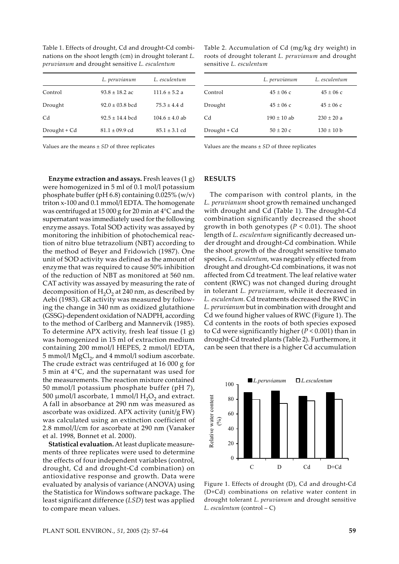Table 1. Effects of drought, Cd and drought-Cd combinations on the shoot length (cm) in drought tolerant *L. peruvianum* and drought sensitive *L. esculentum*

|              | L. peruvianum       | L. esculentum      |  |
|--------------|---------------------|--------------------|--|
| Control      | $93.8 \pm 18.2$ ac  | $111.6 \pm 5.2$ a  |  |
| Drought      | $92.0 \pm 03.8$ bcd | $75.3 + 4.4$ d     |  |
| Cd           | $92.5 \pm 14.4$ bcd | $104.6 \pm 4.0$ ab |  |
| Drought + Cd | $81.1 \pm 09.9$ cd  | $85.1 \pm 3.1$ cd  |  |

Values are the means ± *SD* of three replicates

**Enzyme extraction and assays.** Fresh leaves (1 g) were homogenized in 5 ml of 0.1 mol/l potassium phosphate buffer (pH  $6.8$ ) containing 0.025% (w/v) triton x-100 and 0.1 mmol/l EDTA. The homogenate was centrifuged at 15 000 g for 20 min at 4°C and the supernatant was immediately used for the following enzyme assays. Total SOD activity was assayed by monitoring the inhibition of photochemical reaction of nitro blue tetrazolium (NBT) according to the method of Beyer and Fridowich (1987). One unit of SOD activity was defined as the amount of enzyme that was required to cause 50% inhibition of the reduction of NBT as monitored at 560 nm. CAT activity was assayed by measuring the rate of decomposition of  $H_2O_2$  at 240 nm, as described by Aebi (1983). GR activity was measured by following the change in 340 nm as oxidized glutathione (GSSG)-dependent oxidation of NADPH, according to the method of Carlberg and Mannervik (1985). To determine APX activity, fresh leaf tissue (1 g) was homogenized in 15 ml of extraction medium containing 200 mmol/l HEPES, 2 mmol/l EDTA, 5 mmol/l  $MgCl<sub>2</sub>$ , and 4 mmol/l sodium ascorbate. The crude extract was centrifuged at 16 000 g for 5 min at 4°C, and the supernatant was used for the measurements. The reaction mixture contained 50 mmol/l potassium phosphate buffer (pH 7), 500  $\mu$ mol/l ascorbate, 1 mmol/l H<sub>2</sub>O<sub>2</sub> and extract. A fall in absorbance at 290 nm was measured as ascorbate was oxidized. APX activity (unit/g FW) was calculated using an extinction coefficient of 2.8 mmol/l/cm for ascorbate at 290 nm (Vanaker et al. 1998, Bonnet et al. 2000).

**Statistical evaluation.** At least duplicate measurements of three replicates were used to determine the effects of four independent variables (control, drought, Cd and drought-Cd combination) on antioxidative response and growth. Data were evaluated by analysis of variance (ANOVA) using the Statistica for Windows software package. The least significant difference (*LSD*) test was applied to compare mean values.

Table 2. Accumulation of Cd (mg/kg dry weight) in roots of drought tolerant *L. peruvianum* and drought sensitive *L. esculentum*

|              | L. peruvianum | L. esculentum  |  |
|--------------|---------------|----------------|--|
| Control      | $45 + 06c$    | $45 + 06c$     |  |
| Drought      | $45 + 06c$    | $45 + 06c$     |  |
| Cd           | $190 + 10$ ab | $230 + 20a$    |  |
| Drought + Cd | $50 \pm 20$ c | $130 \pm 10$ b |  |

Values are the means ± *SD* of three replicates

# **RESULTS**

The comparison with control plants, in the *L. peruvianum* shoot growth remained unchanged with drought and Cd (Table 1). The drought-Cd combination significantly decreased the shoot growth in both genotypes (*P* < 0.01). The shoot length of *L. esculentum* significantly decreased under drought and drought-Cd combination. While the shoot growth of the drought sensitive tomato species, *L. esculentum*, was negatively effected from drought and drought-Cd combinations, it was not affected from Cd treatment. The leaf relative water content (RWC) was not changed during drought in tolerant *L. peruvianum*, while it decreased in *L. esculentum*. Cd treatments decreased the RWC in *L. peruvianum* but in combination with drought and Cd we found higher values of RWC (Figure 1). The Cd contents in the roots of both species exposed to Cd were significantly higher (*P* < 0.001) than in drought-Cd treated plants (Table 2). Furthermore, it can be seen that there is a higher Cd accumulation



Figure 1. Effects of drought (D), Cd and drought-Cd (D+Cd) combinations on relative water content in drought tolerant *L. peruvianum* and drought sensitive *L. esculentum* (control – C)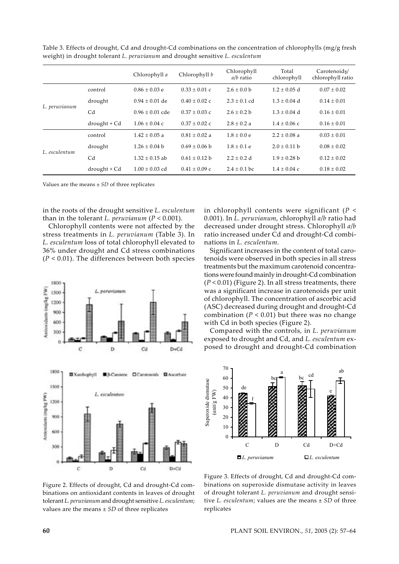|               |                   | Chlorophyll a       | Chlorophyll b     | Chlorophyll<br>$a/b$ ratio | Total<br>chlorophyll | Carotenoids/<br>chlorophyll ratio |
|---------------|-------------------|---------------------|-------------------|----------------------------|----------------------|-----------------------------------|
| L. peruvianum | control           | $0.86 \pm 0.03$ e   | $0.33 + 0.01$ c   | $2.6 + 0.0 b$              | $1.2 + 0.05$ d       | $0.07 + 0.02$                     |
|               | drought           | $0.94 \pm 0.01$ de  | $0.40 + 0.02$ c   | $2.3 + 0.1$ cd             | $1.3 + 0.04$ d       | $0.14 + 0.01$                     |
|               | Cd                | $0.96 \pm 0.01$ cde | $0.37 + 0.03$ c   | $2.6 + 0.2 b$              | $1.3 + 0.04$ d       | $0.16 \pm 0.01$                   |
|               | $d$ rought + $Cd$ | $1.06 \pm 0.04$ c   | $0.37 \pm 0.02$ c | $2.8 + 0.2 a$              | $1.4 \pm 0.06$ c     | $0.16 \pm 0.01$                   |
| L. esculentum | control           | $1.42 + 0.05$ a     | $0.81 + 0.02$ a   | $1.8 + 0.0 e$              | $2.2 + 0.08$ a       | $0.03 + 0.01$                     |
|               | drought           | $1.26 + 0.04$ b     | $0.69 \pm 0.06$ b | $1.8 + 0.1 e$              | $2.0 + 0.11$ b       | $0.08 + 0.02$                     |
|               | C <sub>d</sub>    | $1.32 + 0.15$ ab    | $0.61 + 0.12$ b   | $2.2 + 0.2$ d              | $1.9 + 0.28$ b       | $0.12 + 0.02$                     |
|               | $d$ rought + $Cd$ | $1.00 + 0.03$ cd    | $0.41 \pm 0.09$ c | $2.4 + 0.1$ bc             | $1.4 \pm 0.04$ c     | $0.18 \pm 0.02$                   |

Table 3. Effects of drought, Cd and drought-Cd combinations on the concentration of chlorophylls (mg/g fresh weight) in drought tolerant *L. peruvianum* and drought sensitive *L. esculentum*

Values are the means ± *SD* of three replicates

in the roots of the drought sensitive *L. esculentum* than in the tolerant *L. peruvianum*  $(P < 0.001)$ .

Chlorophyll contents were not affected by the stress treatments in *L. peruvianum* (Table 3). In *L. esculentum* loss of total chlorophyll elevated to 36% under drought and Cd stress combinations (*P* < 0.01). The differences between both species



Figure 2. Effects of drought, Cd and drought-Cd combinations on antioxidant contents in leaves of drought tolerant *L. peruvianum* and drought sensitive *L. esculentum*; values are the means ± *SD* of three replicates

in chlorophyll contents were significant (*P* < 0.001). In *L. peruvianum*, chlorophyll *a*/*b* ratio had decreased under drought stress. Chlorophyll *a*/*b* ratio increased under Cd and drought-Cd combinations in *L. esculentum*.

Significant increases in the content of total carotenoids were observed in both species in all stress treatments but the maximum carotenoid concentrations were found mainly in drought-Cd combination (*P* < 0.01) (Figure 2). In all stress treatments, there was a significant increase in carotenoids per unit of chlorophyll. The concentration of ascorbic acid (ASC) decreased during drought and drought-Cd combination  $(P < 0.01)$  but there was no change with Cd in both species (Figure 2).

Compared with the controls, in *L. peruvianum* exposed to drought and Cd, and *L. esculentum* exposed to drought and drought-Cd combination



Figure 3. Effects of drought, Cd and drought-Cd combinations on superoxide dismutase activity in leaves of drought tolerant *L. peruvianum* and drought sensi*t*; tive *L. esculentum*; values are the means  $\pm$  *SD* of three replicates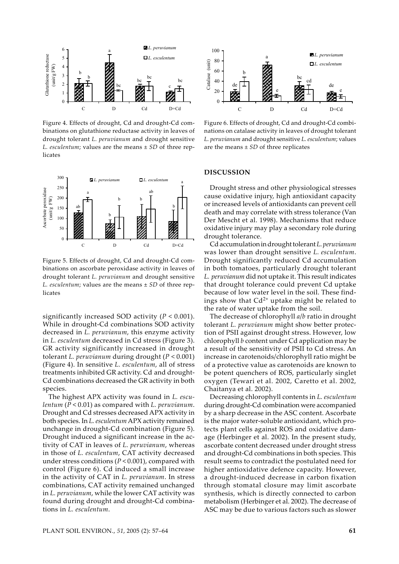

Figure 4. Effects of drought, Cd and drought-Cd combinations on glutathione reductase activity in leaves of drought tolerant *L. peruvianum* and drought sensitive *L. esculentum*; values are the means ± *SD* of three replicates



Figure 5. Effects of drought, Cd and drought-Cd combinations on ascorbate peroxidase activity in leaves of drought tolerant *L. peruvianum* and drought sensitive *L. esculentum;* values are the means  $\pm$  *SD* of three replicates

significantly increased SOD activity (*P* < 0.001). While in drought-Cd combinations SOD activity decreased in *L. peruvianum*, this enzyme activity in *L. esculentum* decreased in Cd stress (Figure 3). GR activity significantly increased in drought tolerant *L. peruvianum* during drought (*P* < 0.001) (Figure 4). In sensitive *L. esculentum*, all of stress treatments inhibited GR activity. Cd and drought-Cd combinations decreased the GR activity in both species.

The highest APX activity was found in *L. esculentum* (*P* < 0.01) as compared with *L. peruvianum*. Drought and Cd stresses decreased APX activity in both species. In *L. esculentum* APX activity remained unchange in drought-Cd combination (Figure 5). Drought induced a significant increase in the activity of CAT in leaves of *L. peruvianum*, whereas in those of *L. esculentum*, CAT activity decreased under stress conditions (*P* < 0.001), compared with control (Figure 6). Cd induced a small increase in the activity of CAT in *L. peruvianum*. In stress combinations, CAT activity remained unchanged in *L. peruvianum*, while the lower CAT activity was found during drought and drought-Cd combinations in *L. esculentum*.



Figure 6. Effects of drought, Cd and drought-Cd combinations on catalase activity in leaves of drought tolerant *L. peruvianum* and drought sensitive *L. esculentum*; values  $\mu$  are the means  $\pm$  *SD* of three replicates

#### **DISCUSSION**

Drought stress and other physiological stresses cause oxidative injury, high antioxidant capacity or increased levels of antioxidants can prevent cell death and may correlate with stress tolerance (Van Der Mescht et al. 1998). Mechanisms that reduce oxidative injury may play a secondary role during drought tolerance.

Cd accumulation in drought tolerant *L. peruvianum* was lower than drought sensitive *L. esculentum*. Drought significantly reduced Cd accumulation in both tomatoes, particularly drought tolerant *L. peruvianum* did not uptake it. This result indicates that drought tolerance could prevent Cd uptake because of low water level in the soil. These findings show that  $Cd^{2+}$  uptake might be related to the rate of water uptake from the soil.

The decrease of chlorophyll *a*/*b* ratio in drought tolerant *L. peruvianum* might show better protection of PSII against drought stress. However, low chlorophyll *b* content under Cd application may be a result of the sensitivity of PSII to Cd stress. An increase in carotenoids/chlorophyll ratio might be of a protective value as carotenoids are known to be potent quenchers of ROS, particularly singlet oxygen (Tewari et al. 2002, Caretto et al. 2002, Chaitanya et al. 2002).

Decreasing chlorophyll contents in *L. esculentum* during drought-Cd combination were accompanied by a sharp decrease in the ASC content. Ascorbate is the major water-soluble antioxidant, which protects plant cells against ROS and oxidative damage (Herbinger et al. 2002). In the present study, ascorbate content decreased under drought stress and drought-Cd combinations in both species. This result seems to contradict the postulated need for higher antioxidative defence capacity. However, a drought-induced decrease in carbon fixation through stomatal closure may limit ascorbate synthesis, which is directly connected to carbon metabolism (Herbinger et al. 2002). The decrease of ASC may be due to various factors such as slower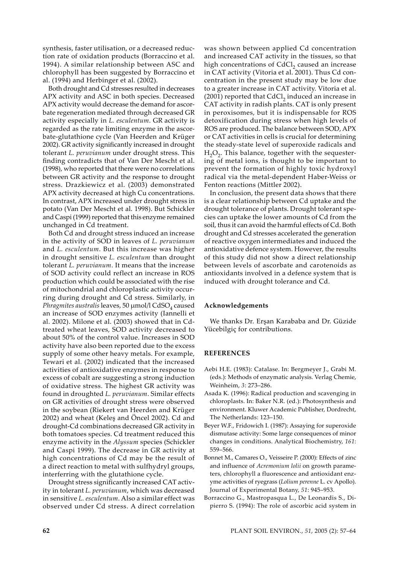synthesis, faster utilisation, or a decreased reduction rate of oxidation products (Borraccino et al. 1994). A similar relationship between ASC and chlorophyll has been suggested by Borraccino et al. (1994) and Herbinger et al. (2002).

Both drought and Cd stresses resulted in decreases APX activity and ASC in both species. Decreased APX activity would decrease the demand for ascorbate regeneration mediated through decreased GR activity especially in *L. esculentum*. GR activity is regarded as the rate limiting enzyme in the ascorbate-glutathione cycle (Van Heerden and Krüger 2002). GR activity significantly increased in drought tolerant *L. peruvianum* under drought stress. This finding contradicts that of Van Der Mescht et al. (1998), who reported that there were no correlations between GR activity and the response to drought stress. Drazkiewicz et al. (2003) demonstrated APX activity decreased at high Cu concentrations. In contrast, APX increased under drought stress in potato (Van Der Mescht et al. 1998). But Schickler and Caspi (1999) reported that this enzyme remained unchanged in Cd treatment.

Both Cd and drought stress induced an increase in the activity of SOD in leaves of *L. peruvianum* and *L. esculentum*. But this increase was higher in drought sensitive *L. esculentum* than drought tolerant *L. peruvianum*. It means that the increase of SOD activity could reflect an increase in ROS production which could be associated with the rise of mitochondrial and chloroplastic activity occurring during drought and Cd stress. Similarly, in *Phragmites australis* leaves, 50 µmol/l CdSO<sub>4</sub> caused an increase of SOD enzymes activity (Iannelli et al. 2002). Milone et al. (2003) showed that in Cdtreated wheat leaves, SOD activity decreased to about 50% of the control value. Increases in SOD activity have also been reported due to the excess supply of some other heavy metals. For example, Tewari et al. (2002) indicated that the increased activities of antioxidative enzymes in response to excess of cobalt are suggesting a strong induction of oxidative stress. The highest GR activity was found in droughted *L. peruvianum*. Similar effects on GR activities of drought stress were observed in the soybean (Riekert van Heerden and Krüger 2002) and wheat (Keleş and Öncel 2002). Cd and drought-Cd combinations decreased GR activity in both tomatoes species. Cd treatment reduced this enzyme activity in the *Alyssum* species (Schickler and Caspi 1999). The decrease in GR activity at high concentrations of Cd may be the result of a direct reaction to metal with sulfhydryl groups, interferring with the glutathione cycle.

Drought stress significantly increased CAT activity in tolerant *L. peruvianum*, which was decreased in sensitive *L. esculentum*. Also a similar effect was observed under Cd stress. A direct correlation was shown between applied Cd concentration and increased CAT activity in the tissues, so that high concentrations of  $CdCl<sub>2</sub>$  caused an increase in CAT activity (Vitoria et al. 2001). Thus Cd concentration in the present study may be low due to a greater increase in CAT activity. Vitoria et al.  $(2001)$  reported that CdCl<sub>2</sub> induced an increase in CAT activity in radish plants. CAT is only present in peroxisomes, but it is indispensable for ROS detoxification during stress when high levels of ROS are produced. The balance between SOD, APX or CAT activities in cells is crucial for determining the steady-state level of superoxide radicals and  $H_2O_2$ . This balance, together with the sequestering of metal ions, is thought to be important to prevent the formation of highly toxic hydroxyl radical via the metal-dependent Haber-Weiss or Fenton reactions (Mittler 2002).

In conclusion, the present data shows that there is a clear relationship between Cd uptake and the drought tolerance of plants. Drought tolerant species can uptake the lower amounts of Cd from the soil, thus it can avoid the harmful effects of Cd. Both drought and Cd stresses accelerated the generation of reactive oxygen intermediates and induced the antioxidative defence system. However, the results of this study did not show a direct relationship between levels of ascorbate and carotenoids as antioxidants involved in a defence system that is induced with drought tolerance and Cd.

#### **Acknowledgements**

We thanks Dr. Erşan Karababa and Dr. Güzide Yücebilgiç for contributions.

#### **REFERENCES**

- Aebi H.E. (1983): Catalase. In: Bergmeyer J., Grabi M. (eds.): Methods of enzymatic analysis. Verlag Chemie, Weinheim, *3*: 273–286.
- Asada K. (1996): Radical production and scavenging in chloroplasts. In: Baker N.R. (ed.): Photosynthesis and environment. Kluwer Academic Publisher, Dordrecht, The Netherlands: 123–150.
- Beyer W.F., Fridowich I. (1987): Assaying for superoxide dismutase activity: Some large consequences of minor changes in conditions. Analytical Biochemistry, *161*: 559–566.
- Bonnet M., Camares O., Veisseire P. (2000): Effects of zinc and influence of *Acremonium lolii* on growth parameters, chlorophyll a fluorescence and antioxidant enzyme activities of ryegrass (*Lolium perenne* L. cv Apollo). Journal of Experimental Botany, *51*: 945–953.
- Borraccino G., Mastropasqua L., De Leonardis S., Dipierro S. (1994): The role of ascorbic acid system in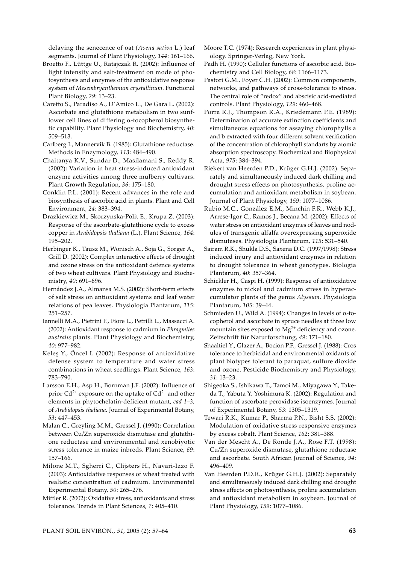delaying the senecence of oat (*Avena sativa* L.) leaf segments. Journal of Plant Physiology, *144*: 161–166.

- Broetto F., Lüttge U., Ratajczak R. (2002): Influence of light intensity and salt-treatment on mode of photosynthesis and enzymes of the antioxidative response system of *Mesembryanthemum crystallinum*. Functional Plant Biology, *29*: 13–23.
- Caretto S., Paradiso A., D'Amico L., De Gara L. (2002): Ascorbate and glutathione metabolism in two sunflower cell lines of differing α-tocopherol biosynthetic capability. Plant Physiology and Biochemistry, *40*: 509–513.
- Carlberg I., Mannervik B. (1985): Glutathione reductase. Methods in Enzymology, *113*: 484–490.
- Chaitanya K.V., Sundar D., Masilamani S., Reddy R. (2002): Variation in heat stress-induced antioxidant enzyme activities among three mulberry cultivars. Plant Growth Regulation, *36*: 175–180.
- Conklin P.L. (2001): Recent advances in the role and biosynthesis of ascorbic acid in plants. Plant and Cell Environment, *24*: 383–394.
- Drazkiewicz M., Skorzynska-Polit E., Krupa Z. (2003): Response of the ascorbate-glutathione cycle to excess copper in *Arabidopsis thaliana* (L.). Plant Science, *164*: 195–202.
- Herbinger K., Tausz M., Wonisch A., Soja G., Sorger A., Grill D. (2002): Complex interactive effects of drought and ozone stress on the antioxidant defence systems of two wheat cultivars. Plant Physiology and Biochemistry, *40*: 691–696.
- Hernández J.A., Almansa M.S. (2002): Short-term effects of salt stress on antioxidant systems and leaf water relations of pea leaves. Physiologia Plantarum, *115*: 251–257.
- Iannelli M.A., Pietrini F., Fiore L., Petrilli L., Massacci A. (2002): Antioxidant response to cadmium in *Phragmites australis* plants. Plant Physiology and Biochemistry, *40*: 977–982.
- Keleş Y., Öncel I. (2002): Response of antioxidative defense system to temperature and water stress combinations in wheat seedlings. Plant Science, *163*: 783–790.
- Larsson E.H., Asp H., Bornman J.F. (2002): Influence of prior  $Cd^{2+}$  exposure on the uptake of  $Cd^{2+}$  and other elements in phytochelatin-deficient mutant, *cad 1–3*, of *Arabidopsis thaliana*. Journal of Experimental Botany, *53*: 447–453.
- Malan C., Greyling M.M., Gressel J. (1990): Correlation between Cu/Zn superoxide dismutase and glutathione reductase and environmental and xenobiyotic stress tolerance in maize inbreds. Plant Science, *69*: 157–166.
- Milone M.T., Sgherri C., Clijsters H., Navari-Izzo F. (2003): Antioxidative responses of wheat treated with realistic concentration of cadmium. Environmental Experimental Botany, *50*: 265–276.
- Mittler R. (2002): Oxidative stress, antioxidants and stress tolerance. Trends in Plant Sciences, *7*: 405–410.
- Moore T.C. (1974): Research experiences in plant physiology. Springer-Verlag, New York.
- Padh H. (1990): Cellular functions of ascorbic acid. Biochemistry and Cell Biology, *68*: 1166–1173.
- Pastori G.M., Foyer C.H. (2002): Common components, networks, and pathways of cross-tolerance to stress. The central role of "redox" and abscisic acid-mediated controls. Plant Physiology, *129*: 460–468.
- Porra R.J., Thompson R.A., Kriedemann P.E. (1989): Determination of accurate extinction coefficients and simultaneous equations for assaying chlorophylls a and b extracted with four different solvent verification of the concentration of chlorophyll standarts by atomic absorption spectroscopy. Biochemical and Biophysical Acta, *975*: 384–394.
- Riekert van Heerden P.D., Krüger G.H.J. (2002): Separately and simultaneously induced dark chilling and drought stress effects on photosynthesis, proline accumulation and antioxidant metabolism in soybean. Journal of Plant Physiology, *159*: 1077–1086.
- Rubio M.C., González E.M., Minchin F.R., Webb K.J., Arrese-Igor C., Ramos J., Becana M. (2002): Effects of water stress on antioxidant enzymes of leaves and nodules of transgenic alfalfa overexpressing superoxide dismutases. Physiologia Plantarum, *115*: 531–540.
- Sairam R.K., Shukla D.S., Saxena D.C. (1997/1998): Stress induced injury and antioxidant enzymes in relation to drought tolerance in wheat genotypes. Biologia Plantarum, *40*: 357–364.
- Schickler H., Caspi H. (1999): Response of antioxidative enzymes to nickel and cadmium stress in hyperaccumulator plants of the genus *Alyssum*. Physiologia Plantarum, *105*: 39–44.
- Schmieden U., Wild A. (1994): Changes in levels of  $\alpha$ -tocopherol and ascorbate in spruce needles at three low mountain sites exposed to Mg<sup>2+</sup> deficiency and ozone. Zeitschrift für Naturforschung, *49*: 171–180.
- Shaaltiel Y., Glazer A., Bocion P.F., Gressel J. (1988): Cros tolerance to herbicidal and environmental oxidants of plant biotypes tolerant to paraquat, sulfure dioxide and ozone. Pesticide Biochemistry and Physiology, *31*: 13–23.
- Shigeoka S., Ishikawa T., Tamoi M., Miyagawa Y., Takeda T., Yabuta Y. Yoshimura K. (2002): Regulation and function of ascorbate peroxidase isoenzymes. Journal of Experimental Botany, *53*: 1305–1319.
- Tewari R.K., Kumar P., Sharma P.N., Bisht S.S. (2002): Modulation of oxidative stress responsive enzymes by excess cobalt. Plant Science, *162*: 381–388.
- Van der Mescht A., De Ronde J.A., Rose F.T. (1998): Cu/Zn superoxide dismutase, glutathione reductase and ascorbate. South African Journal of Science, *94*: 496–409.
- Van Heerden P.D.R., Krüger G.H.J. (2002): Separately and simultaneously induced dark chilling and drought stress effects on photosynthesis, proline accumulation and antioxidant metabolism in soybean. Journal of Plant Physiology, *159*: 1077–1086.